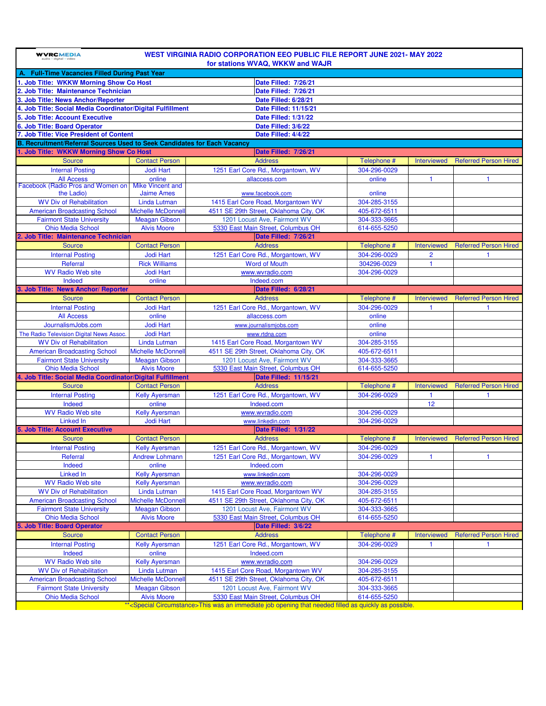| WEST VIRGINIA RADIO CORPORATION EEO PUBLIC FILE REPORT JUNE 2021- MAY 2022<br><b>WVRCMEDIA</b><br>for stations WVAQ, WKKW and WAJR |                                            |                                            |                              |                    |                              |  |  |  |  |
|------------------------------------------------------------------------------------------------------------------------------------|--------------------------------------------|--------------------------------------------|------------------------------|--------------------|------------------------------|--|--|--|--|
| A. Full-Time Vacancies Filled During Past Year                                                                                     |                                            |                                            |                              |                    |                              |  |  |  |  |
| 1. Job Title: WKKW Morning Show Co Host                                                                                            |                                            | Date Filled: 7/26/21                       |                              |                    |                              |  |  |  |  |
| 2. Job Title: Maintenance Technician                                                                                               |                                            | Date Filled: 7/26/21                       |                              |                    |                              |  |  |  |  |
| 3. Job Title: News Anchor/Reporter                                                                                                 |                                            | Date Filled: 6/28/21                       |                              |                    |                              |  |  |  |  |
| 4. Job Title: Social Media Coordinator/Digital Fulfillment                                                                         |                                            | Date Filled: 11/15/21                      |                              |                    |                              |  |  |  |  |
| 5. Job Title: Account Executive                                                                                                    |                                            |                                            |                              |                    |                              |  |  |  |  |
|                                                                                                                                    |                                            | <b>Date Filled: 1/31/22</b>                |                              |                    |                              |  |  |  |  |
| 6. Job Title: Board Operator                                                                                                       |                                            | Date Filled: 3/6/22<br>Date Filled: 4/4/22 |                              |                    |                              |  |  |  |  |
| 7. Job Title: Vice President of Content<br>B. Recruitment/Referral Sources Used to Seek Candidates for Each Vacancy                |                                            |                                            |                              |                    |                              |  |  |  |  |
|                                                                                                                                    |                                            |                                            |                              |                    |                              |  |  |  |  |
| . Job Title: WKKW Morning Show Co Host                                                                                             |                                            | Date Filled: 7/26/21                       |                              |                    |                              |  |  |  |  |
| <b>Source</b>                                                                                                                      | <b>Contact Person</b>                      | <b>Address</b>                             | Telephone #                  | <b>Interviewed</b> | <b>Referred Person Hired</b> |  |  |  |  |
| <b>Internal Posting</b>                                                                                                            | <b>Jodi Hart</b>                           | 1251 Earl Core Rd., Morgantown, WV         | 304-296-0029                 |                    |                              |  |  |  |  |
| <b>All Access</b>                                                                                                                  | online                                     | allaccess.com                              | online                       | 1                  |                              |  |  |  |  |
| Facebook (Radio Pros and Women on)                                                                                                 | <b>Mike Vincent and</b>                    |                                            |                              |                    |                              |  |  |  |  |
| the Ladio)                                                                                                                         | <b>Jaime Ames</b>                          | www.facebook.com                           | online                       |                    |                              |  |  |  |  |
| <b>WV Div of Rehabilitation</b>                                                                                                    | Linda Lutman                               | 1415 Earl Core Road, Morgantown WV         | 304-285-3155                 |                    |                              |  |  |  |  |
| <b>American Broadcasting School</b>                                                                                                | <b>Michelle McDonnel</b>                   | 4511 SE 29th Street, Oklahoma City, OK     | 405-672-6511                 |                    |                              |  |  |  |  |
| <b>Fairmont State University</b>                                                                                                   | <b>Meagan Gibson</b>                       | 1201 Locust Ave, Fairmont WV               | 304-333-3665                 |                    |                              |  |  |  |  |
| <b>Ohio Media School</b>                                                                                                           | <b>Alvis Moore</b>                         | 5330 East Main Street, Columbus OH         | 614-655-5250                 |                    |                              |  |  |  |  |
| <b>Job Title: Maintenance Technician</b>                                                                                           |                                            | Date Filled: 7/26/21                       |                              |                    |                              |  |  |  |  |
| <b>Source</b>                                                                                                                      | <b>Contact Person</b>                      | <b>Address</b>                             | Telephone #                  | <b>Interviewed</b> | <b>Referred Person Hired</b> |  |  |  |  |
| <b>Internal Posting</b>                                                                                                            | <b>Jodi Hart</b>                           | 1251 Earl Core Rd., Morgantown, WV         | 304-296-0029                 | $\overline{2}$     | -1                           |  |  |  |  |
| Referral                                                                                                                           | <b>Rick Williams</b>                       | <b>Word of Mouth</b>                       | 304296-0029                  | $\mathbf{1}$       |                              |  |  |  |  |
| <b>WV Radio Web site</b>                                                                                                           | <b>Jodi Hart</b>                           | www.wvradio.com                            | 304-296-0029                 |                    |                              |  |  |  |  |
| Indeed                                                                                                                             | online                                     | Indeed.com                                 |                              |                    |                              |  |  |  |  |
| 3. Job Title: News Anchor/ Reporter                                                                                                |                                            | Date Filled: 6/28/21                       |                              |                    |                              |  |  |  |  |
| <b>Source</b>                                                                                                                      | <b>Contact Person</b>                      | <b>Address</b>                             | Telephone #                  | <b>Interviewed</b> | <b>Referred Person Hired</b> |  |  |  |  |
| <b>Internal Posting</b>                                                                                                            | <b>Jodi Hart</b>                           | 1251 Earl Core Rd., Morgantown, WV         | 304-296-0029                 |                    |                              |  |  |  |  |
| <b>All Access</b>                                                                                                                  | online                                     | allaccess.com                              | online                       |                    |                              |  |  |  |  |
| JournalismJobs.com                                                                                                                 | <b>Jodi Hart</b>                           | www.journalismjobs.com                     | online                       |                    |                              |  |  |  |  |
|                                                                                                                                    | <b>Jodi Hart</b>                           |                                            | online                       |                    |                              |  |  |  |  |
| The Radio Television Digital News Assoc.                                                                                           |                                            | www.rtdna.com                              |                              |                    |                              |  |  |  |  |
| <b>WV Div of Rehabilitation</b>                                                                                                    | Linda Lutman                               | 1415 Earl Core Road, Morgantown WV         | 304-285-3155                 |                    |                              |  |  |  |  |
| <b>American Broadcasting School</b>                                                                                                | <b>Michelle McDonnel</b>                   | 4511 SE 29th Street, Oklahoma City, OK     | 405-672-6511                 |                    |                              |  |  |  |  |
| <b>Fairmont State University</b>                                                                                                   | <b>Meagan Gibson</b>                       | 1201 Locust Ave, Fairmont WV               | 304-333-3665                 |                    |                              |  |  |  |  |
| <b>Ohio Media School</b>                                                                                                           | <b>Alvis Moore</b>                         | 5330 East Main Street, Columbus OH         | 614-655-5250                 |                    |                              |  |  |  |  |
| 4. Job Title: Social Media Coordinator/Digital Fulfillment                                                                         |                                            | Date Filled: 11/15/21                      |                              |                    |                              |  |  |  |  |
| <b>Source</b>                                                                                                                      | <b>Contact Person</b>                      | <b>Address</b>                             | Telephone #                  | <b>Interviewed</b> | <b>Referred Person Hired</b> |  |  |  |  |
| <b>Internal Posting</b>                                                                                                            | <b>Kelly Ayersman</b>                      | 1251 Earl Core Rd., Morgantown, WV         | 304-296-0029                 | 1                  | $\mathbf{1}$                 |  |  |  |  |
| Indeed                                                                                                                             | online                                     | Indeed.com                                 |                              | 12                 |                              |  |  |  |  |
| <b>WV Radio Web site</b>                                                                                                           | <b>Kelly Ayersman</b>                      | www.wvradio.com                            | 304-296-0029                 |                    |                              |  |  |  |  |
| <b>Linked In</b>                                                                                                                   | <b>Jodi Hart</b>                           | www.linkedin.com                           | 304-296-0029                 |                    |                              |  |  |  |  |
| <b>Job Title: Account Executive</b>                                                                                                |                                            | <b>Date Filled: 1/31/22</b>                |                              |                    |                              |  |  |  |  |
| <b>Source</b>                                                                                                                      | <b>Contact Person</b>                      | <b>Address</b>                             | Telephone #                  | <b>Interviewed</b> | <b>Referred Person Hired</b> |  |  |  |  |
| <b>Internal Posting</b>                                                                                                            | Kelly Ayersman                             | 1251 Earl Core Rd., Morgantown, WV         | 304-296-0029                 |                    |                              |  |  |  |  |
| Referral                                                                                                                           | <b>Andrew Lohmann</b>                      | 1251 Earl Core Rd., Morgantown, WV         | 304-296-0029                 | $\mathbf{1}$       | $\mathbf{1}$                 |  |  |  |  |
| Indeed                                                                                                                             | online                                     | Indeed.com                                 |                              |                    |                              |  |  |  |  |
| Linked In                                                                                                                          | <b>Kelly Ayersman</b>                      | www.linkedin.com                           | 304-296-0029                 |                    |                              |  |  |  |  |
| <b>WV Radio Web site</b>                                                                                                           | <b>Kelly Ayersman</b>                      | www.wvradio.com                            | 304-296-0029                 |                    |                              |  |  |  |  |
| <b>WV Div of Rehabilitation</b>                                                                                                    | Linda Lutman                               | 1415 Earl Core Road, Morgantown WV         | 304-285-3155                 |                    |                              |  |  |  |  |
| <b>American Broadcasting School</b>                                                                                                | <b>Michelle McDonnel</b>                   | 4511 SE 29th Street, Oklahoma City, OK     | 405-672-6511                 |                    |                              |  |  |  |  |
|                                                                                                                                    |                                            |                                            |                              |                    |                              |  |  |  |  |
| <b>Fairmont State University</b><br><b>Ohio Media School</b>                                                                       | <b>Meagan Gibson</b><br><b>Alvis Moore</b> | 1201 Locust Ave, Fairmont WV               | 304-333-3665<br>614-655-5250 |                    |                              |  |  |  |  |
|                                                                                                                                    |                                            | 5330 East Main Street, Columbus OH         |                              |                    |                              |  |  |  |  |
| <b>Job Title: Board Operator</b>                                                                                                   |                                            | Date Filled: 3/6/22                        |                              |                    |                              |  |  |  |  |
| <b>Source</b>                                                                                                                      | <b>Contact Person</b>                      | <b>Address</b>                             | Telephone #                  | <b>Interviewed</b> | <b>Referred Person Hired</b> |  |  |  |  |
| <b>Internal Posting</b>                                                                                                            | <b>Kelly Ayersman</b>                      | 1251 Earl Core Rd., Morgantown, WV         | 304-296-0029                 | 1                  | -1                           |  |  |  |  |
| Indeed                                                                                                                             | online                                     | Indeed.com                                 |                              |                    |                              |  |  |  |  |
| <b>WV Radio Web site</b>                                                                                                           | <b>Kelly Ayersman</b>                      | www.wvradio.com                            | 304-296-0029                 |                    |                              |  |  |  |  |
| <b>WV Div of Rehabilitation</b>                                                                                                    | Linda Lutman                               | 1415 Earl Core Road, Morgantown WV         | 304-285-3155                 |                    |                              |  |  |  |  |
| <b>American Broadcasting School</b>                                                                                                | <b>Michelle McDonnel</b>                   | 4511 SE 29th Street, Oklahoma City, OK     | 405-672-6511                 |                    |                              |  |  |  |  |
| <b>Fairmont State University</b>                                                                                                   | <b>Meagan Gibson</b>                       | 1201 Locust Ave, Fairmont WV               | 304-333-3665                 |                    |                              |  |  |  |  |
| <b>Ohio Media School</b>                                                                                                           | <b>Alvis Moore</b>                         | 5330 East Main Street, Columbus OH         | 614-655-5250                 |                    |                              |  |  |  |  |
|                                                                                                                                    |                                            |                                            |                              |                    |                              |  |  |  |  |

**A security of the Circumstance**>This was an immediate job opening that needed filled as quickly as possible. **The contract of the Circumstance** and the contract of the contract of the contract of the contract of the contr